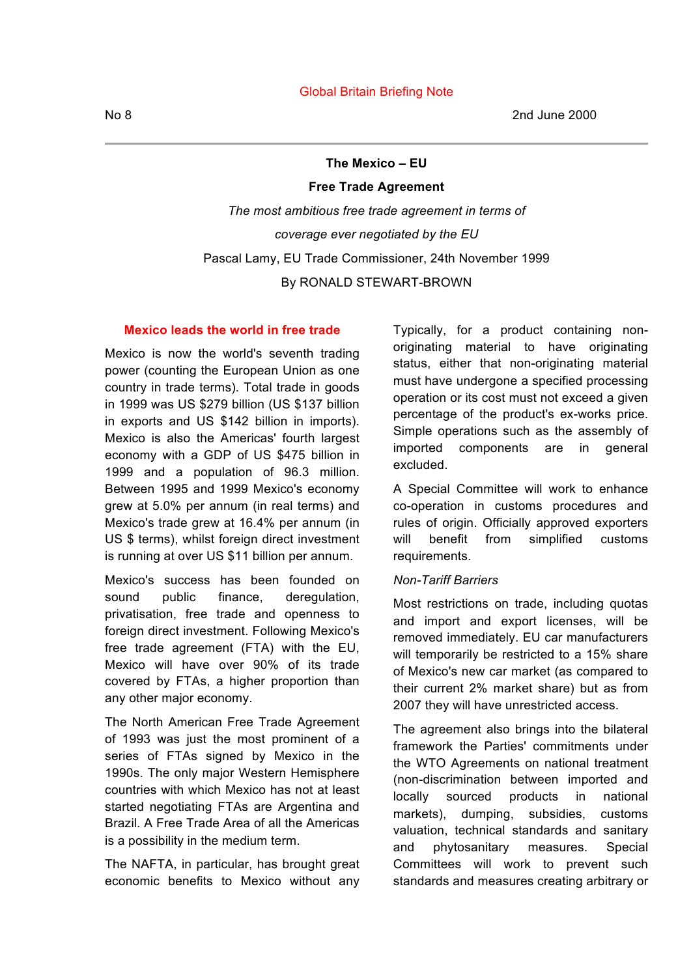**The Mexico – EU**

#### **Free Trade Agreement**

*The most ambitious free trade agreement in terms of coverage ever negotiated by the EU* Pascal Lamy, EU Trade Commissioner, 24th November 1999 By RONALD STEWART-BROWN

#### **Mexico leads the world in free trade**

Mexico is now the world's seventh trading power (counting the European Union as one country in trade terms). Total trade in goods in 1999 was US \$279 billion (US \$137 billion in exports and US \$142 billion in imports). Mexico is also the Americas' fourth largest economy with a GDP of US \$475 billion in 1999 and a population of 96.3 million. Between 1995 and 1999 Mexico's economy grew at 5.0% per annum (in real terms) and Mexico's trade grew at 16.4% per annum (in US \$ terms), whilst foreign direct investment is running at over US \$11 billion per annum.

Mexico's success has been founded on sound public finance, deregulation, privatisation, free trade and openness to foreign direct investment. Following Mexico's free trade agreement (FTA) with the EU, Mexico will have over 90% of its trade covered by FTAs, a higher proportion than any other major economy.

The North American Free Trade Agreement of 1993 was just the most prominent of a series of FTAs signed by Mexico in the 1990s. The only major Western Hemisphere countries with which Mexico has not at least started negotiating FTAs are Argentina and Brazil. A Free Trade Area of all the Americas is a possibility in the medium term.

The NAFTA, in particular, has brought great economic benefits to Mexico without any Typically, for a product containing nonoriginating material to have originating status, either that non-originating material must have undergone a specified processing operation or its cost must not exceed a given percentage of the product's ex-works price. Simple operations such as the assembly of imported components are in general excluded.

A Special Committee will work to enhance co-operation in customs procedures and rules of origin. Officially approved exporters will benefit from simplified customs requirements.

#### *Non-Tariff Barriers*

Most restrictions on trade, including quotas and import and export licenses, will be removed immediately. EU car manufacturers will temporarily be restricted to a 15% share of Mexico's new car market (as compared to their current 2% market share) but as from 2007 they will have unrestricted access.

The agreement also brings into the bilateral framework the Parties' commitments under the WTO Agreements on national treatment (non-discrimination between imported and locally sourced products in national markets), dumping, subsidies, customs valuation, technical standards and sanitary and phytosanitary measures. Special Committees will work to prevent such standards and measures creating arbitrary or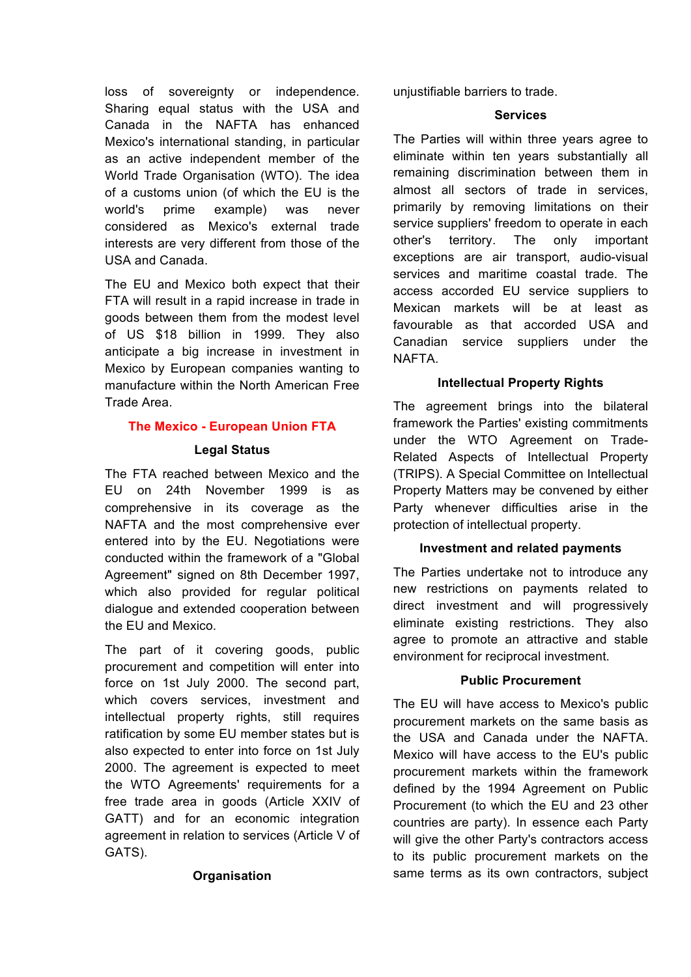loss of sovereignty or independence. Sharing equal status with the USA and Canada in the NAFTA has enhanced Mexico's international standing, in particular as an active independent member of the World Trade Organisation (WTO). The idea of a customs union (of which the EU is the world's prime example) was never considered as Mexico's external trade interests are very different from those of the USA and Canada.

The EU and Mexico both expect that their FTA will result in a rapid increase in trade in goods between them from the modest level of US \$18 billion in 1999. They also anticipate a big increase in investment in Mexico by European companies wanting to manufacture within the North American Free Trade Area.

# **The Mexico - European Union FTA**

#### **Legal Status**

The FTA reached between Mexico and the EU on 24th November 1999 is as comprehensive in its coverage as the NAFTA and the most comprehensive ever entered into by the EU. Negotiations were conducted within the framework of a "Global Agreement" signed on 8th December 1997, which also provided for regular political dialogue and extended cooperation between the EU and Mexico.

The part of it covering goods, public procurement and competition will enter into force on 1st July 2000. The second part, which covers services, investment and intellectual property rights, still requires ratification by some EU member states but is also expected to enter into force on 1st July 2000. The agreement is expected to meet the WTO Agreements' requirements for a free trade area in goods (Article XXIV of GATT) and for an economic integration agreement in relation to services (Article V of GATS).

# **Organisation**

unjustifiable barriers to trade.

#### **Services**

The Parties will within three years agree to eliminate within ten years substantially all remaining discrimination between them in almost all sectors of trade in services, primarily by removing limitations on their service suppliers' freedom to operate in each other's territory. The only important exceptions are air transport, audio-visual services and maritime coastal trade. The access accorded EU service suppliers to Mexican markets will be at least as favourable as that accorded USA and Canadian service suppliers under the NAFTA.

# **Intellectual Property Rights**

The agreement brings into the bilateral framework the Parties' existing commitments under the WTO Agreement on Trade-Related Aspects of Intellectual Property (TRIPS). A Special Committee on Intellectual Property Matters may be convened by either Party whenever difficulties arise in the protection of intellectual property.

# **Investment and related payments**

The Parties undertake not to introduce any new restrictions on payments related to direct investment and will progressively eliminate existing restrictions. They also agree to promote an attractive and stable environment for reciprocal investment.

# **Public Procurement**

The EU will have access to Mexico's public procurement markets on the same basis as the USA and Canada under the NAFTA. Mexico will have access to the EU's public procurement markets within the framework defined by the 1994 Agreement on Public Procurement (to which the EU and 23 other countries are party). In essence each Party will give the other Party's contractors access to its public procurement markets on the same terms as its own contractors, subject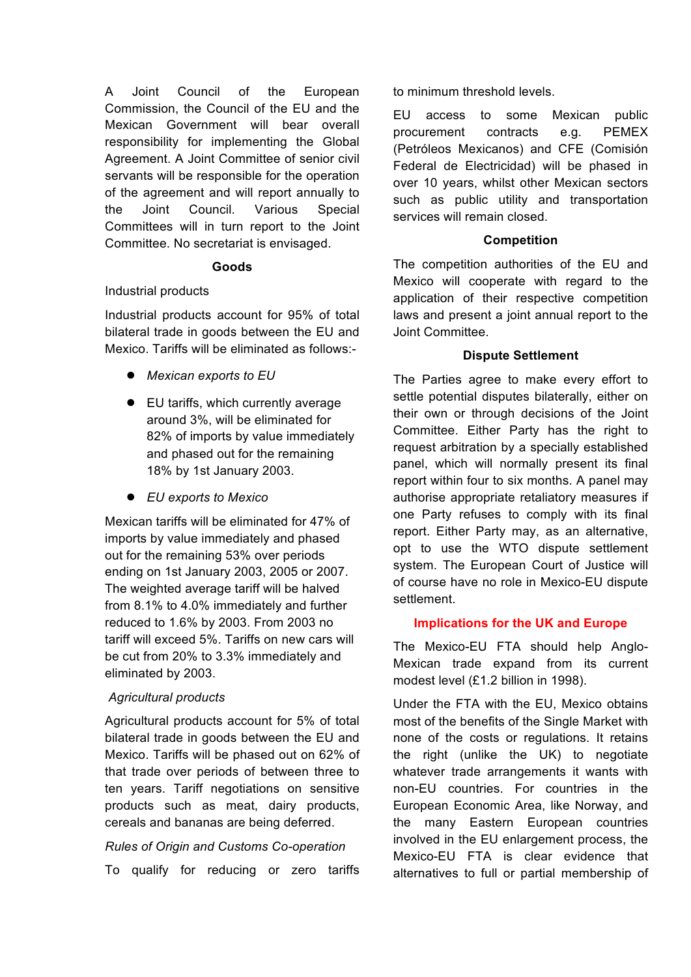A Joint Council of the European Commission, the Council of the EU and the Mexican Government will bear overall responsibility for implementing the Global Agreement. A Joint Committee of senior civil servants will be responsible for the operation of the agreement and will report annually to the Joint Council. Various Special Committees will in turn report to the Joint Committee. No secretariat is envisaged.

#### **Goods**

#### Industrial products

Industrial products account for 95% of total bilateral trade in goods between the EU and Mexico. Tariffs will be eliminated as follows:-

- *Mexican exports to EU*
- EU tariffs, which currently average around 3%, will be eliminated for 82% of imports by value immediately and phased out for the remaining 18% by 1st January 2003.
- *EU exports to Mexico*

Mexican tariffs will be eliminated for 47% of imports by value immediately and phased out for the remaining 53% over periods ending on 1st January 2003, 2005 or 2007. The weighted average tariff will be halved from 8.1% to 4.0% immediately and further reduced to 1.6% by 2003. From 2003 no tariff will exceed 5%. Tariffs on new cars will be cut from 20% to 3.3% immediately and eliminated by 2003.

# *Agricultural products*

Agricultural products account for 5% of total bilateral trade in goods between the EU and Mexico. Tariffs will be phased out on 62% of that trade over periods of between three to ten years. Tariff negotiations on sensitive products such as meat, dairy products, cereals and bananas are being deferred.

# *Rules of Origin and Customs Co-operation*

To qualify for reducing or zero tariffs

to minimum threshold levels.

EU access to some Mexican public procurement contracts e.g. PEMEX (Petróleos Mexicanos) and CFE (Comisión Federal de Electricidad) will be phased in over 10 years, whilst other Mexican sectors such as public utility and transportation services will remain closed.

#### **Competition**

The competition authorities of the EU and Mexico will cooperate with regard to the application of their respective competition laws and present a joint annual report to the Joint Committee.

# **Dispute Settlement**

The Parties agree to make every effort to settle potential disputes bilaterally, either on their own or through decisions of the Joint Committee. Either Party has the right to request arbitration by a specially established panel, which will normally present its final report within four to six months. A panel may authorise appropriate retaliatory measures if one Party refuses to comply with its final report. Either Party may, as an alternative, opt to use the WTO dispute settlement system. The European Court of Justice will of course have no role in Mexico-EU dispute settlement.

# **Implications for the UK and Europe**

The Mexico-EU FTA should help Anglo-Mexican trade expand from its current modest level (£1.2 billion in 1998).

Under the FTA with the EU, Mexico obtains most of the benefits of the Single Market with none of the costs or regulations. It retains the right (unlike the UK) to negotiate whatever trade arrangements it wants with non-EU countries. For countries in the European Economic Area, like Norway, and the many Eastern European countries involved in the EU enlargement process, the Mexico-EU FTA is clear evidence that alternatives to full or partial membership of